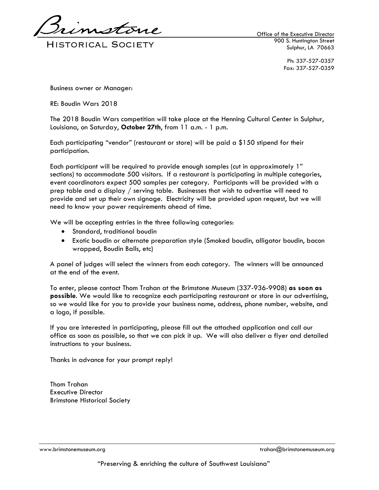**HISTORICAL SOCIETY** 

Office of the Executive Director 900 S. Huntington Street Sulphur, LA 70663

> Ph: 337-527-0357 Fax: 337-527-0359

Business owner or Manager:

RE: Boudin Wars 2018

The 2018 Boudin Wars competition will take place at the Henning Cultural Center in Sulphur, Louisiana, on Saturday, **October 27th**, from 11 a.m. - 1 p.m.

Each participating "vendor" (restaurant or store) will be paid a \$150 stipend for their participation.

Each participant will be required to provide enough samples (cut in approximately 1" sections) to accommodate 500 visitors. If a restaurant is participating in multiple categories, event coordinators expect 500 samples per category. Participants will be provided with a prep table and a display / serving table. Businesses that wish to advertise will need to provide and set up their own signage. Electricity will be provided upon request, but we will need to know your power requirements ahead of time.

We will be accepting entries in the three following categories:

- Standard, traditional boudin
- Exotic boudin or alternate preparation style (Smoked boudin, alligator boudin, bacon wrapped, Boudin Balls, etc)

A panel of judges will select the winners from each category. The winners will be announced at the end of the event.

To enter, please contact Thom Trahan at the Brimstone Museum (337-936-9908) **as soon as possible**. We would like to recognize each participating restaurant or store in our advertising, so we would like for you to provide your business name, address, phone number, website, and a logo, if possible.

If you are interested in participating, please fill out the attached application and call our office as soon as possible, so that we can pick it up. We will also deliver a flyer and detailed instructions to your business.

Thanks in advance for your prompt reply!

Thom Trahan Executive Director Brimstone Historical Society

www.brimstonemuseum.org trahan@brimstonemuseum.org